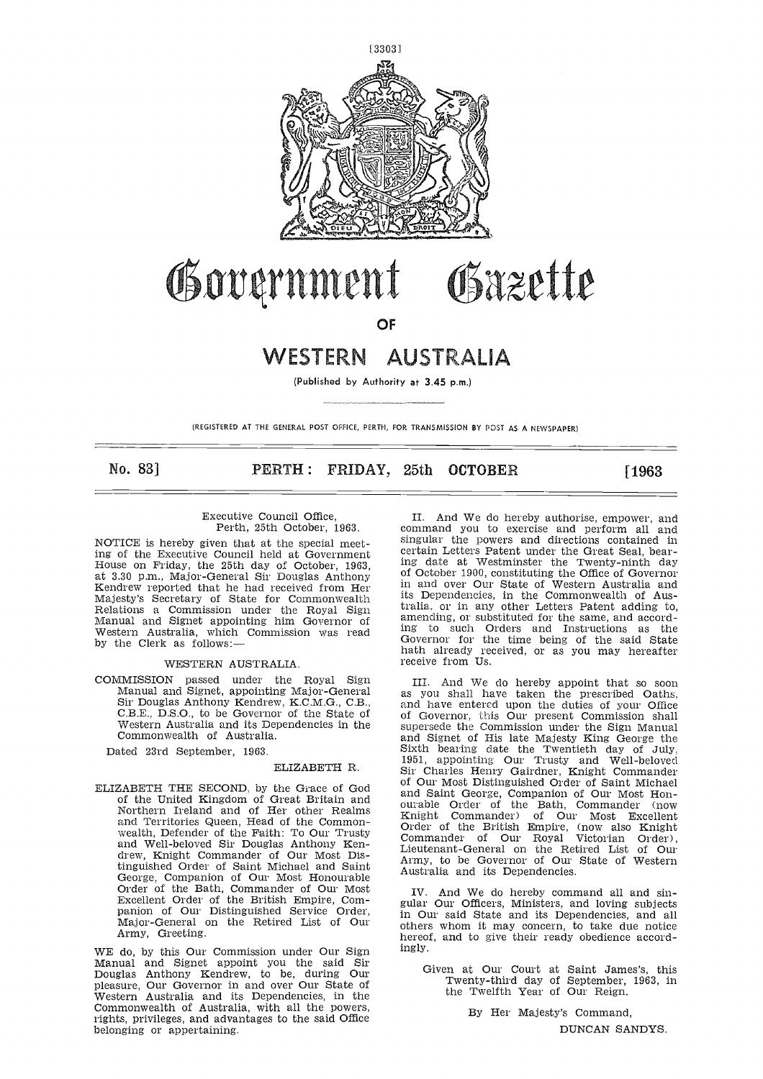

# Governmen Osazette

**OF**

## **WESTERN** AUSTRA **IA**

(Published by Authority at 3.45 p.m.)

(REGISTERED AT THE GENERAL POST OFFICE, PERTH, FOR TRANSMISSION BY POST AS A NEWSPAPER)

**No. 831 PERTH : FRIDAY, 25th OCTOBER [1963**

#### Executive Council Office, Perth, 25th October, 1963.

NOTICE is hereby given that at the special meeting of the Executive Council held at Government House on Friday, the 25th day of October, 1963, at 3.30 p.m., Major-General Sir Douglas Anthony Kendrew reported that he had received from Her Majesty's Secretary of State for Commonwealth Relations a Commission under the Royal Sign Manual and Signet appointing him Governor of Western Australia, which Commission was read by the Clerk as follows:—

#### WESTERN AUSTRALIA.

COMMISSION passed under the Royal Sign Manual and Signet, appointing Major-General Sir Douglas Anthony Kendrew, K.C.M.G., C.B., C.B.E., D.S.O., to be Governor of the State of Western Australia and its Dependencies in the Commonwealth of Australia.

Dated 23rd September, 1963.

### ELIZABETH R.

ELIZABETH THE SECOND, by the Grace of God of the United Kingdom of Great Britain and Northern Ireland and of Her other Realms and Territories Queen, Head of the Commonwealth, Defender of the Faith: To Our Trusty and Well-beloved Sir Douglas Anthony Kendrew, Knight Commander of Our Most Distinguished Order of Saint Michael and Saint George, Companion of Our Most Honourable Order of the Bath, Commander of Our Most Excellent Order of the British Empire, Companion of Our Distinguished Service Order, Major-General on the Retired List of Our Army, Greeting.

WE do, by this Our Commission under Our Sign Manual and Signet appoint you the said Sir Douglas Anthony Kendrew, to be, during Our pleasure, Our Governor in and over Our State of Western Australia and its Dependencies, in the Commonwealth of Australia, with all the powers, rights, privileges, and advantages to the said Office belonging or appertaining.

II. And We do hereby authorise, empower, and command you to exercise and perform all and singular the powers and directions contained in certain Letters Patent under the Great Seal, bearing date at Westminster the Twenty-ninth day of October 1900, constituting the Office of Governor in and over Our State of Western Australia and its Dependencies, in the Commonwealth of Australia, or in any other Letters Patent adding to, amending, or substituted for the same, and according to such Orders and Instructions as the Governor for the time being of the said State hath already received, or as you may hereafter receive from Us.

III. And We do hereby appoint that so soon as you shall have taken the prescribed Oaths, and have entered upon the duties of your Office of Governor, this Our present Commission shall supersede the Commission under the Sign Manual and Signet of His late Majesty King George the Sixth bearing date the Twentieth day of July, 1951, appointing Our Trusty and Well-beloved Sir Charles Henry Gairdner, Knight Commander of Our Most Distinguished Order of Saint Michael and Saint George, Companion of Our Most Honourable Order of the Bath, Commander (now Knight Commander) of Our Most Excellent Order of the British Empire, (now also Knight Commander of Our Royal Victorian Order), Lieutenant-General on the Retired List of Our Army, to be Governor of Our State of Western Australia and its Dependencies.

And We do hereby command all and singular Our Officers, Ministers, and loving subjects in Our said State and its Dependencies, and all others whom it may concern, to take due notice hereof, and to give their ready obedience accordingly.

Given at Our Court at Saint James's, this Twenty-third day of September, 1963, in the Twelfth Year of Our Reign.

> By Her Majesty's Command, DUNCAN SANDYS.